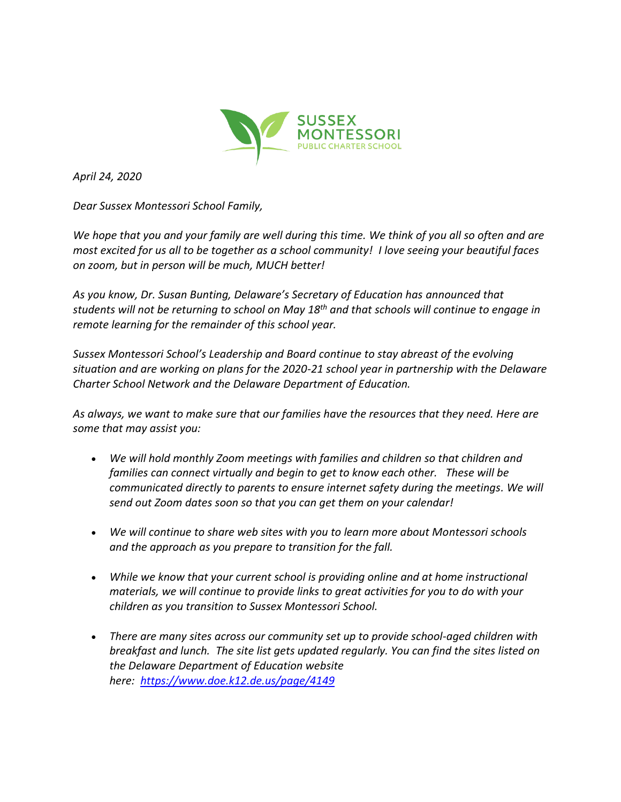

*April 24, 2020*

*Dear Sussex Montessori School Family,*

*We hope that you and your family are well during this time. We think of you all so often and are most excited for us all to be together as a school community! I love seeing your beautiful faces on zoom, but in person will be much, MUCH better!*

*As you know, Dr. Susan Bunting, Delaware's Secretary of Education has announced that students will not be returning to school on May 18th and that schools will continue to engage in remote learning for the remainder of this school year.*

*Sussex Montessori School's Leadership and Board continue to stay abreast of the evolving situation and are working on plans for the 2020-21 school year in partnership with the Delaware Charter School Network and the Delaware Department of Education.*

*As always, we want to make sure that our families have the resources that they need. Here are some that may assist you:*

- *We will hold monthly Zoom meetings with families and children so that children and families can connect virtually and begin to get to know each other. These will be communicated directly to parents to ensure internet safety during the meetings. We will send out Zoom dates soon so that you can get them on your calendar!*
- *We will continue to share web sites with you to learn more about Montessori schools and the approach as you prepare to transition for the fall.*
- *While we know that your current school is providing online and at home instructional materials, we will continue to provide links to great activities for you to do with your children as you transition to Sussex Montessori School.*
- *There are many sites across our community set up to provide school-aged children with breakfast and lunch. The site list gets updated regularly. You can find the sites listed on the Delaware Department of Education website here: <https://www.doe.k12.de.us/page/4149>*